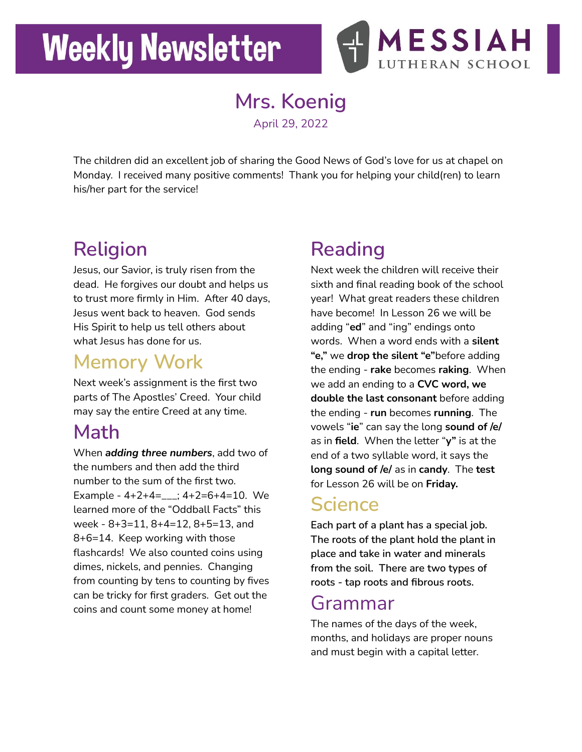# **Weekly Newsletter**



**Mrs. Koenig** April 29, 2022

The children did an excellent job of sharing the Good News of God's love for us at chapel on Monday. I received many positive comments! Thank you for helping your child(ren) to learn his/her part for the service!

## **Religion**

Jesus, our Savior, is truly risen from the dead. He forgives our doubt and helps us to trust more firmly in Him. After 40 days, Jesus went back to heaven. God sends His Spirit to help us tell others about what Jesus has done for us.

### **Memory Work**

Next week's assignment is the first two parts of The Apostles' Creed. Your child may say the entire Creed at any time.

### **Math**

When *adding three numbers*, add two of the numbers and then add the third number to the sum of the first two. Example -  $4+2+4=-$ ;  $4+2=6+4=10$ . We learned more of the "Oddball Facts" this week - 8+3=11, 8+4=12, 8+5=13, and 8+6=14. Keep working with those flashcards! We also counted coins using dimes, nickels, and pennies. Changing from counting by tens to counting by fives can be tricky for first graders. Get out the coins and count some money at home!

## **Reading**

Next week the children will receive their sixth and final reading book of the school year! What great readers these children have become! In Lesson 26 we will be adding "**ed**" and "ing" endings onto words. When a word ends with a **silent "e,"** we **drop the silent "e"**before adding the ending - **rake** becomes **raking**. When we add an ending to a **CVC word, we double the last consonant** before adding the ending - **run** becomes **running**. The vowels "**ie**" can say the long **sound of /e/** as in **field**. When the letter "**y"** is at the end of a two syllable word, it says the **long sound of /e/** as in **candy**. The **test** for Lesson 26 will be on **Friday.**

#### **Science**

**Each part of a plant has a special job. The roots of the plant hold the plant in place and take in water and minerals from the soil. There are two types of roots - tap roots and fibrous roots.**

#### Grammar

The names of the days of the week, months, and holidays are proper nouns and must begin with a capital letter.